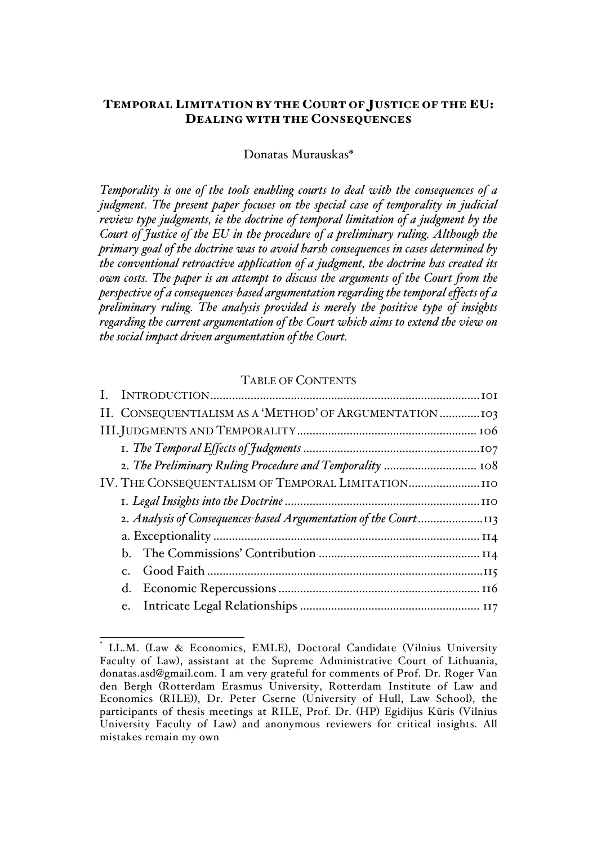# TEMPORAL LIMITATION BY THE COURT OF JUSTICE OF THE EU: DEALING WITH THE CONSEQUENCES

#### Donatas Murauskas\*

*Temporality is one of the tools enabling courts to deal with the consequences of a judgment. The present paper focuses on the special case of temporality in judicial review type judgments, ie the doctrine of temporal limitation of a judgment by the Court of Justice of the EU in the procedure of a preliminary ruling. Although the primary goal of the doctrine was to avoid harsh consequences in cases determined by the conventional retroactive application of a judgment, the doctrine has created its own costs. The paper is an attempt to discuss the arguments of the Court from the perspective of a consequences-based argumentation regarding the temporal effects of a preliminary ruling. The analysis provided is merely the positive type of insights regarding the current argumentation of the Court which aims to extend the view on the social impact driven argumentation of the Court.* 

### TABLE OF CONTENTS

|  | II. CONSEQUENTIALISM AS A 'METHOD' OF ARGUMENTATION  103        |  |
|--|-----------------------------------------------------------------|--|
|  |                                                                 |  |
|  |                                                                 |  |
|  | 2. The Preliminary Ruling Procedure and Temporality  108        |  |
|  | IV. THE CONSEQUENTALISM OF TEMPORAL LIMITATION                  |  |
|  |                                                                 |  |
|  | 2. Analysis of Consequences-based Argumentation of the Court113 |  |
|  |                                                                 |  |
|  |                                                                 |  |
|  |                                                                 |  |
|  |                                                                 |  |
|  |                                                                 |  |

LL.M. (Law & Economics, EMLE), Doctoral Candidate (Vilnius University Faculty of Law), assistant at the Supreme Administrative Court of Lithuania, donatas.asd@gmail.com. I am very grateful for comments of Prof. Dr. Roger Van den Bergh (Rotterdam Erasmus University, Rotterdam Institute of Law and Economics (RILE)), Dr. Peter Cserne (University of Hull, Law School), the participants of thesis meetings at RILE, Prof. Dr. (HP) Egidijus Kūris (Vilnius University Faculty of Law) and anonymous reviewers for critical insights. All mistakes remain my own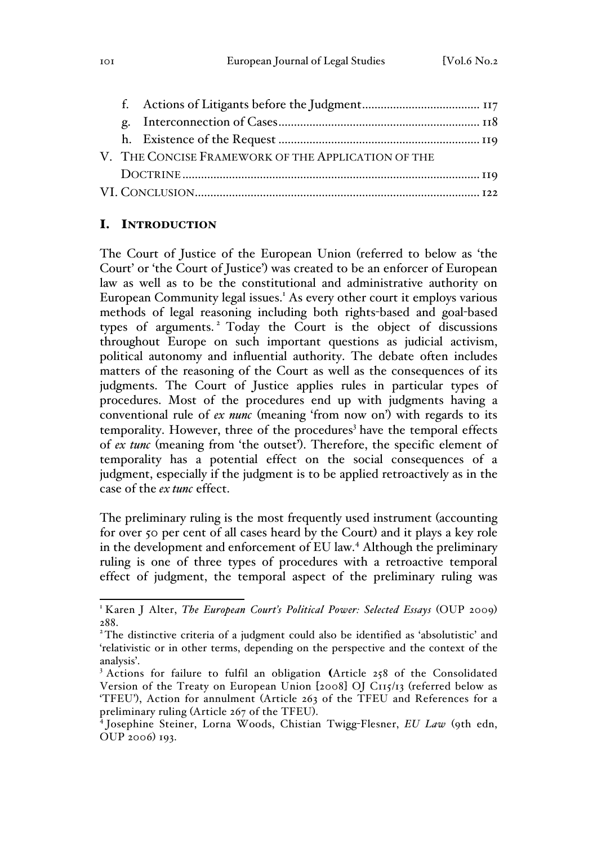| V. THE CONCISE FRAMEWORK OF THE APPLICATION OF THE |  |  |
|----------------------------------------------------|--|--|
|                                                    |  |  |
|                                                    |  |  |
|                                                    |  |  |

# I. INTRODUCTION

The Court of Justice of the European Union (referred to below as 'the Court' or 'the Court of Justice') was created to be an enforcer of European law as well as to be the constitutional and administrative authority on European Community legal issues.<sup>1</sup> As every other court it employs various methods of legal reasoning including both rights-based and goal-based types of arguments. <sup>2</sup> Today the Court is the object of discussions throughout Europe on such important questions as judicial activism, political autonomy and influential authority. The debate often includes matters of the reasoning of the Court as well as the consequences of its judgments. The Court of Justice applies rules in particular types of procedures. Most of the procedures end up with judgments having a conventional rule of *ex nunc* (meaning 'from now on') with regards to its temporality. However, three of the procedures<sup>3</sup> have the temporal effects of *ex tunc* (meaning from 'the outset'). Therefore, the specific element of temporality has a potential effect on the social consequences of a judgment, especially if the judgment is to be applied retroactively as in the case of the *ex tunc* effect.

The preliminary ruling is the most frequently used instrument (accounting for over 50 per cent of all cases heard by the Court) and it plays a key role in the development and enforcement of EU law.<sup>4</sup> Although the preliminary ruling is one of three types of procedures with a retroactive temporal effect of judgment, the temporal aspect of the preliminary ruling was

<sup>&</sup>lt;sup>1</sup> Karen J Alter, *The European Court's Political Power: Selected Essays* (OUP 2009) 288.

<sup>&</sup>lt;sup>2</sup>The distinctive criteria of a judgment could also be identified as 'absolutistic' and 'relativistic or in other terms, depending on the perspective and the context of the analysis'.

<sup>&</sup>lt;sup>3</sup> Actions for failure to fulfil an obligation (Article 258 of the Consolidated Version of the Treaty on European Union [2008] OJ C115/13 (referred below as 'TFEU'), Action for annulment (Article 263 of the TFEU and References for a preliminary ruling (Article 267 of the TFEU). <sup>4</sup> Josephine Steiner, Lorna Woods, Chistian Twigg-Flesner, *EU Law* (9th edn,

OUP 2006) 193.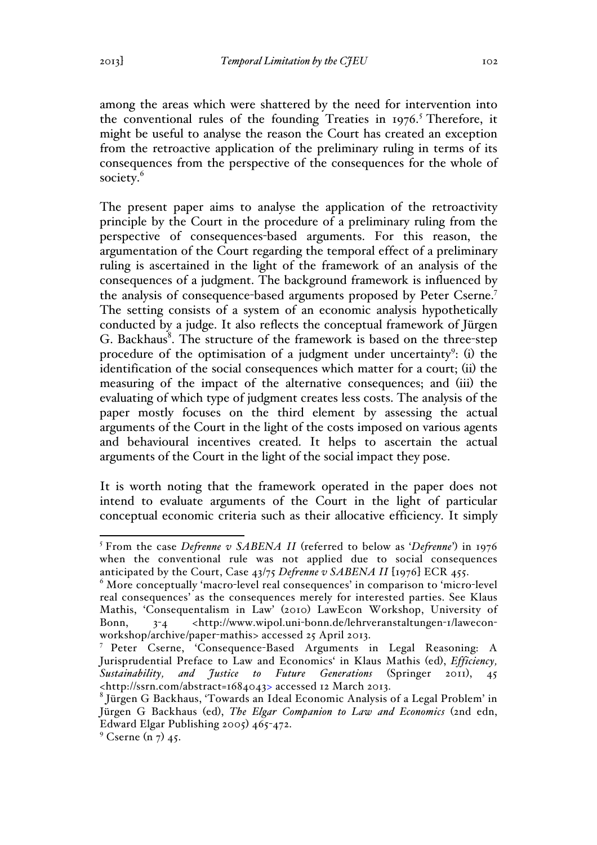among the areas which were shattered by the need for intervention into the conventional rules of the founding Treaties in  $1976$ .<sup>5</sup> Therefore, it might be useful to analyse the reason the Court has created an exception from the retroactive application of the preliminary ruling in terms of its consequences from the perspective of the consequences for the whole of society.<sup>6</sup>

The present paper aims to analyse the application of the retroactivity principle by the Court in the procedure of a preliminary ruling from the perspective of consequences-based arguments. For this reason, the argumentation of the Court regarding the temporal effect of a preliminary ruling is ascertained in the light of the framework of an analysis of the consequences of a judgment. The background framework is influenced by the analysis of consequence-based arguments proposed by Peter Cserne.<sup>7</sup> The setting consists of a system of an economic analysis hypothetically conducted by a judge. It also reflects the conceptual framework of Jürgen G. Backhaus<sup>8</sup>. The structure of the framework is based on the three-step procedure of the optimisation of a judgment under uncertainty<sup>9</sup>: (i) the identification of the social consequences which matter for a court; (ii) the measuring of the impact of the alternative consequences; and (iii) the evaluating of which type of judgment creates less costs. The analysis of the paper mostly focuses on the third element by assessing the actual arguments of the Court in the light of the costs imposed on various agents and behavioural incentives created. It helps to ascertain the actual arguments of the Court in the light of the social impact they pose.

It is worth noting that the framework operated in the paper does not intend to evaluate arguments of the Court in the light of particular conceptual economic criteria such as their allocative efficiency. It simply

 <sup>5</sup> From the case *Defrenne v SABENA II* (referred to below as '*Defrenne*') in 1976 when the conventional rule was not applied due to social consequences anticipated by the Court, Case 43/75 *Defrenne v SABENA II* [1976] ECR 455.<br><sup>6</sup> More conceptually 'macro-level real consequences' in comparison to 'micro-level

real consequences' as the consequences merely for interested parties. See Klaus Mathis, 'Consequentalism in Law' (2010) LawEcon Workshop, University of Bonn, 3-4 <http://www.wipol.uni-bonn.de/lehrveranstaltungen-1/laweconworkshop/archive/paper-mathis> accessed 25 April 2013.

<sup>7</sup> Peter Cserne, 'Consequence-Based Arguments in Legal Reasoning: A Jurisprudential Preface to Law and Economics' in Klaus Mathis (ed), *Efficiency, Sustainability, and Justice to Future Generations* (Springer 2011), 45 <http://ssrn.com/abstract=1684043> accessed 12 March 2013.

<sup>8</sup> Jürgen G Backhaus, 'Towards an Ideal Economic Analysis of a Legal Problem' in Jürgen G Backhaus (ed), *The Elgar Companion to Law and Economics* (2nd edn, Edward Elgar Publishing 2005) 465-472.

 $^{9}$  Cserne (n 7) 45.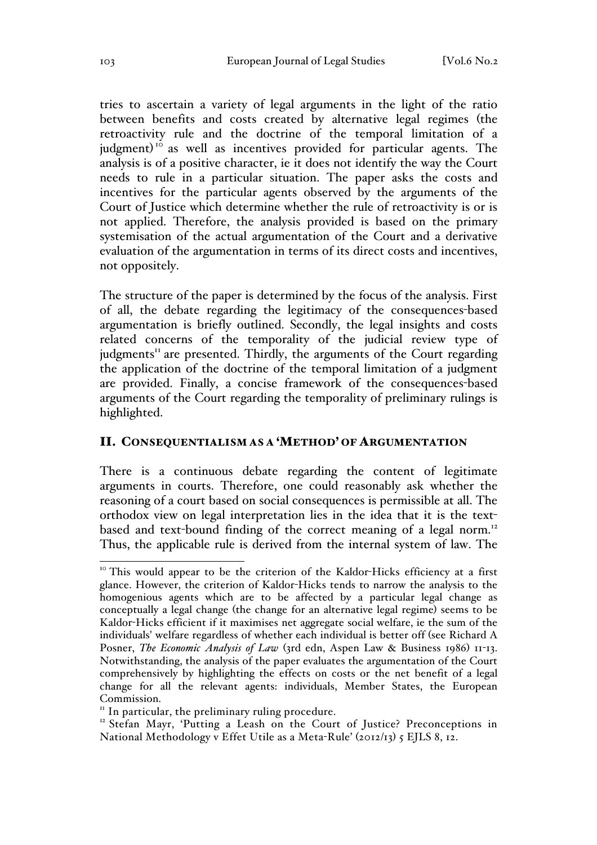tries to ascertain a variety of legal arguments in the light of the ratio between benefits and costs created by alternative legal regimes (the retroactivity rule and the doctrine of the temporal limitation of a judgment)<sup>10</sup> as well as incentives provided for particular agents. The analysis is of a positive character, ie it does not identify the way the Court needs to rule in a particular situation. The paper asks the costs and incentives for the particular agents observed by the arguments of the Court of Justice which determine whether the rule of retroactivity is or is not applied. Therefore, the analysis provided is based on the primary systemisation of the actual argumentation of the Court and a derivative evaluation of the argumentation in terms of its direct costs and incentives, not oppositely.

The structure of the paper is determined by the focus of the analysis. First of all, the debate regarding the legitimacy of the consequences-based argumentation is briefly outlined. Secondly, the legal insights and costs related concerns of the temporality of the judicial review type of judgments<sup>11</sup> are presented. Thirdly, the arguments of the Court regarding the application of the doctrine of the temporal limitation of a judgment are provided. Finally, a concise framework of the consequences-based arguments of the Court regarding the temporality of preliminary rulings is highlighted.

#### II. CONSEQUENTIALISM AS A 'METHOD' OF ARGUMENTATION

There is a continuous debate regarding the content of legitimate arguments in courts. Therefore, one could reasonably ask whether the reasoning of a court based on social consequences is permissible at all. The orthodox view on legal interpretation lies in the idea that it is the textbased and text-bound finding of the correct meaning of a legal norm.<sup>12</sup> Thus, the applicable rule is derived from the internal system of law. The

<sup>&</sup>lt;sup>10</sup> This would appear to be the criterion of the Kaldor-Hicks efficiency at a first glance. However, the criterion of Kaldor-Hicks tends to narrow the analysis to the homogenious agents which are to be affected by a particular legal change as conceptually a legal change (the change for an alternative legal regime) seems to be Kaldor-Hicks efficient if it maximises net aggregate social welfare, ie the sum of the individuals' welfare regardless of whether each individual is better off (see Richard A Posner, *The Economic Analysis of Law* (3rd edn, Aspen Law & Business 1986) 11-13. Notwithstanding, the analysis of the paper evaluates the argumentation of the Court comprehensively by highlighting the effects on costs or the net benefit of a legal change for all the relevant agents: individuals, Member States, the European Commission.<br>" In particular, the preliminary ruling procedure.

<sup>&</sup>lt;sup>12</sup> Stefan Mayr, 'Putting a Leash on the Court of Justice? Preconceptions in National Methodology v Effet Utile as a Meta-Rule' (2012/13) 5 EJLS 8, 12.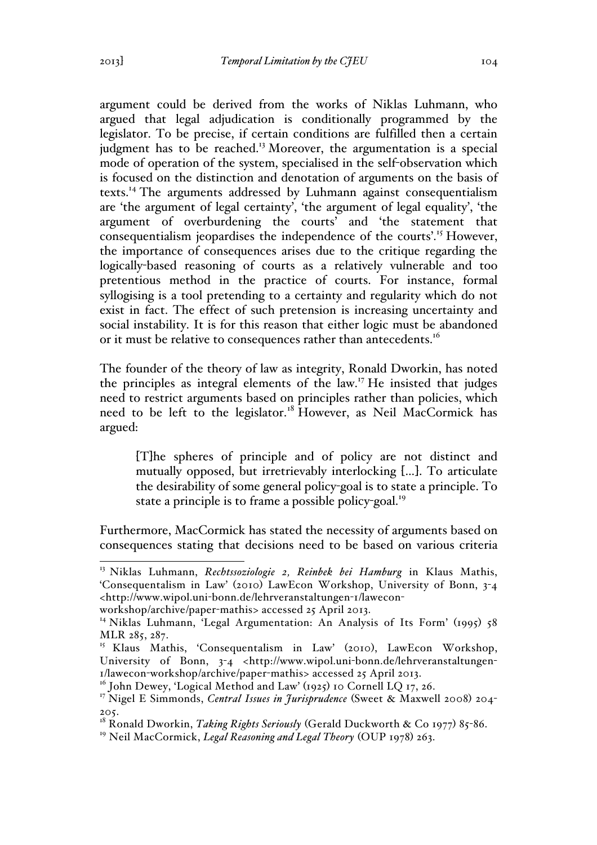argument could be derived from the works of Niklas Luhmann, who argued that legal adjudication is conditionally programmed by the legislator. To be precise, if certain conditions are fulfilled then a certain judgment has to be reached.<sup>13</sup> Moreover, the argumentation is a special mode of operation of the system, specialised in the self-observation which is focused on the distinction and denotation of arguments on the basis of texts.<sup>14</sup> The arguments addressed by Luhmann against consequentialism are 'the argument of legal certainty', 'the argument of legal equality', 'the argument of overburdening the courts' and 'the statement that consequentialism jeopardises the independence of the courts'.<sup>15</sup> However, the importance of consequences arises due to the critique regarding the logically-based reasoning of courts as a relatively vulnerable and too pretentious method in the practice of courts. For instance, formal syllogising is a tool pretending to a certainty and regularity which do not exist in fact. The effect of such pretension is increasing uncertainty and social instability. It is for this reason that either logic must be abandoned or it must be relative to consequences rather than antecedents.<sup>16</sup>

The founder of the theory of law as integrity, Ronald Dworkin, has noted the principles as integral elements of the law.<sup>17</sup> He insisted that judges need to restrict arguments based on principles rather than policies, which need to be left to the legislator.<sup>18</sup> However, as Neil MacCormick has argued:

[T]he spheres of principle and of policy are not distinct and mutually opposed, but irretrievably interlocking […]. To articulate the desirability of some general policy-goal is to state a principle. To state a principle is to frame a possible policy-goal.<sup>19</sup>

Furthermore, MacCormick has stated the necessity of arguments based on consequences stating that decisions need to be based on various criteria

 <sup>13</sup> Niklas Luhmann, *Rechtssoziologie 2, Reinbek bei Hamburg* in Klaus Mathis, 'Consequentalism in Law' (2010) LawEcon Workshop, University of Bonn, 3-4 <http://www.wipol.uni-bonn.de/lehrveranstaltungen-1/lawecon-

workshop/archive/paper-mathis> accessed 25 April 2013.

<sup>&</sup>lt;sup>14</sup> Niklas Luhmann, 'Legal Argumentation: An Analysis of Its Form' (1995) 58 MLR 285, 287.

<sup>&</sup>lt;sup>15</sup> Klaus Mathis, 'Consequentalism in Law' (2010), LawEcon Workshop, University of Bonn, 3-4 <http://www.wipol.uni-bonn.de/lehrveranstaltungen- $1$ /lawecon-workshop/archive/paper-mathis> accessed 25 April 2013.<br><sup>16</sup> John Dewey, 'Logical Method and Law' (1925) 10 Cornell LQ 17, 26.

<sup>17</sup> Nigel E Simmonds, *Central Issues in Jurisprudence* (Sweet & Maxwell 2008) 204- 205.

<sup>18</sup> Ronald Dworkin, *Taking Rights Seriously* (Gerald Duckworth & Co 1977) 85-86.

<sup>&</sup>lt;sup>19</sup> Neil MacCormick, *Legal Reasoning and Legal Theory* (OUP 1978) 263.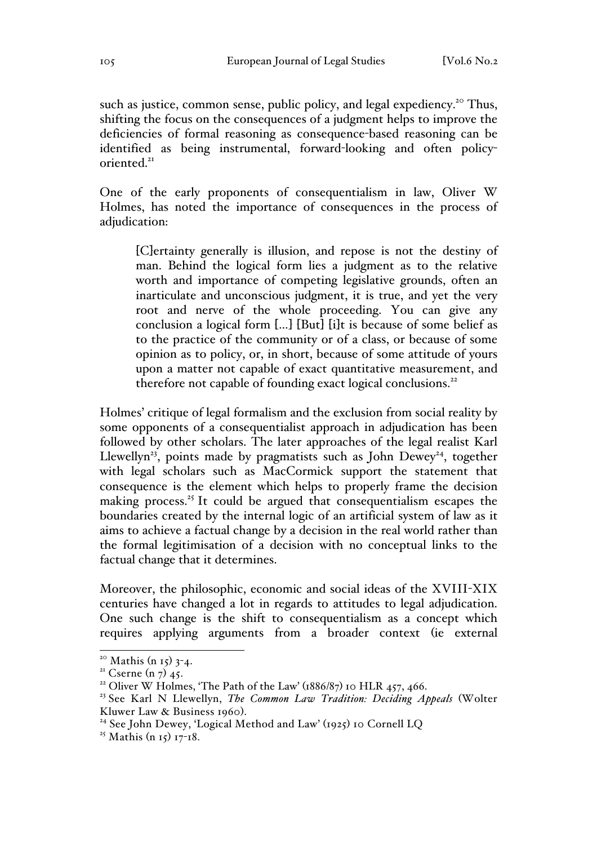such as justice, common sense, public policy, and legal expediency.<sup>20</sup> Thus, shifting the focus on the consequences of a judgment helps to improve the deficiencies of formal reasoning as consequence-based reasoning can be identified as being instrumental, forward-looking and often policyoriented.<sup>21</sup>

One of the early proponents of consequentialism in law, Oliver W Holmes, has noted the importance of consequences in the process of adjudication:

[C]ertainty generally is illusion, and repose is not the destiny of man. Behind the logical form lies a judgment as to the relative worth and importance of competing legislative grounds, often an inarticulate and unconscious judgment, it is true, and yet the very root and nerve of the whole proceeding. You can give any conclusion a logical form […] [But] [i]t is because of some belief as to the practice of the community or of a class, or because of some opinion as to policy, or, in short, because of some attitude of yours upon a matter not capable of exact quantitative measurement, and therefore not capable of founding exact logical conclusions.<sup>22</sup>

Holmes' critique of legal formalism and the exclusion from social reality by some opponents of a consequentialist approach in adjudication has been followed by other scholars. The later approaches of the legal realist Karl Llewellyn<sup>23</sup>, points made by pragmatists such as John Dewey<sup>24</sup>, together with legal scholars such as MacCormick support the statement that consequence is the element which helps to properly frame the decision making process.<sup> $25$ </sup> It could be argued that consequentialism escapes the boundaries created by the internal logic of an artificial system of law as it aims to achieve a factual change by a decision in the real world rather than the formal legitimisation of a decision with no conceptual links to the factual change that it determines.

Moreover, the philosophic, economic and social ideas of the XVIII-XIX centuries have changed a lot in regards to attitudes to legal adjudication. One such change is the shift to consequentialism as a concept which requires applying arguments from a broader context (ie external

<sup>&</sup>lt;sup>20</sup> Mathis (n 15) 3-4.<br><sup>21</sup> Cserne (n 7) 45.<br><sup>22</sup> Oliver W Holmes, 'The Path of the Law' (1886/87) 10 HLR 457, 466.

<sup>23</sup> See Karl N Llewellyn, *The Common Law Tradition: Deciding Appeals* (Wolter

Kluwer Law & Business 1960).<br><sup>24</sup> See John Dewey, 'Logical Method and Law' (1925) 10 Cornell LQ

<sup>&</sup>lt;sup>25</sup> Mathis (n 15) 17-18.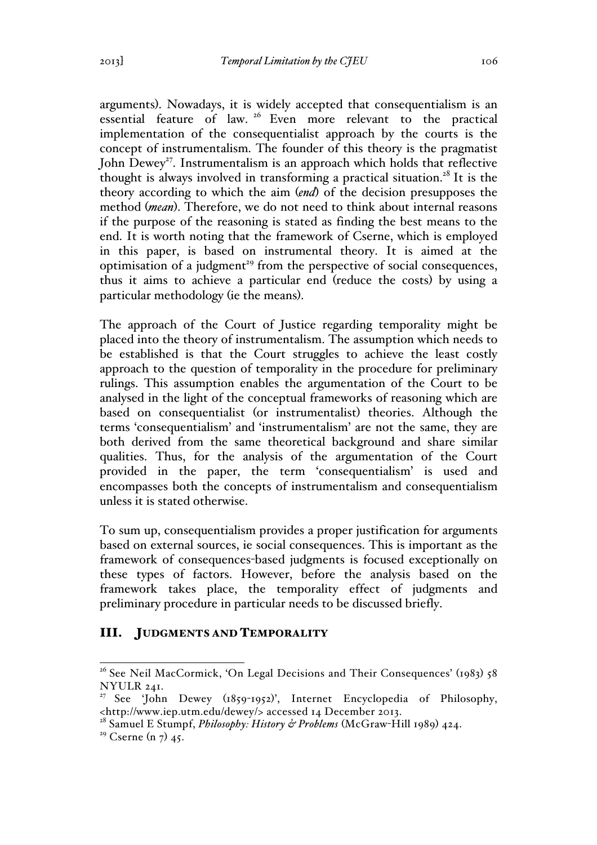arguments). Nowadays, it is widely accepted that consequentialism is an essential feature of law. <sup>26</sup> Even more relevant to the practical implementation of the consequentialist approach by the courts is the concept of instrumentalism. The founder of this theory is the pragmatist John Dewey<sup>27</sup>. Instrumentalism is an approach which holds that reflective thought is always involved in transforming a practical situation.<sup>28</sup> It is the theory according to which the aim (*end*) of the decision presupposes the method (*mean*). Therefore, we do not need to think about internal reasons if the purpose of the reasoning is stated as finding the best means to the end. It is worth noting that the framework of Cserne, which is employed in this paper, is based on instrumental theory. It is aimed at the optimisation of a judgment<sup>29</sup> from the perspective of social consequences, thus it aims to achieve a particular end (reduce the costs) by using a particular methodology (ie the means).

The approach of the Court of Justice regarding temporality might be placed into the theory of instrumentalism. The assumption which needs to be established is that the Court struggles to achieve the least costly approach to the question of temporality in the procedure for preliminary rulings. This assumption enables the argumentation of the Court to be analysed in the light of the conceptual frameworks of reasoning which are based on consequentialist (or instrumentalist) theories. Although the terms 'consequentialism' and 'instrumentalism' are not the same, they are both derived from the same theoretical background and share similar qualities. Thus, for the analysis of the argumentation of the Court provided in the paper, the term 'consequentialism' is used and encompasses both the concepts of instrumentalism and consequentialism unless it is stated otherwise.

To sum up, consequentialism provides a proper justification for arguments based on external sources, ie social consequences. This is important as the framework of consequences-based judgments is focused exceptionally on these types of factors. However, before the analysis based on the framework takes place, the temporality effect of judgments and preliminary procedure in particular needs to be discussed briefly.

### III. JUDGMENTS AND TEMPORALITY

<sup>&</sup>lt;sup>26</sup> See Neil MacCormick, 'On Legal Decisions and Their Consequences' (1983) 58 NYULR 241.

<sup>&</sup>lt;sup>27</sup> See 'John Dewey (1859-1952)', Internet Encyclopedia of Philosophy, <http://www.iep.utm.edu/dewey/> accessed 14 December 2013.

<sup>28</sup> Samuel E Stumpf, *Philosophy: History & Problems* (McGraw-Hill 1989) 424.

<sup>&</sup>lt;sup>29</sup> Cserne (n  $7)$  45.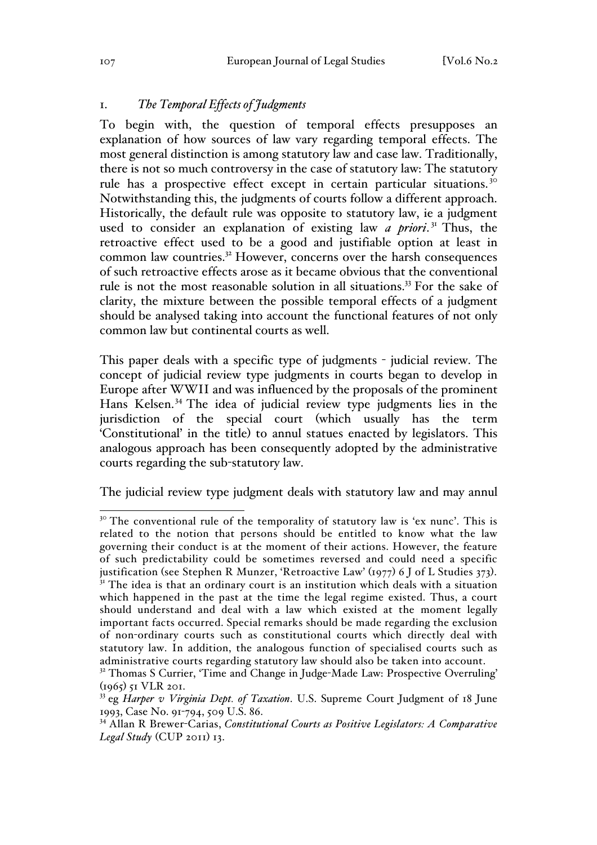## 1. *The Temporal Effects of Judgments*

To begin with, the question of temporal effects presupposes an explanation of how sources of law vary regarding temporal effects. The most general distinction is among statutory law and case law. Traditionally, there is not so much controversy in the case of statutory law: The statutory rule has a prospective effect except in certain particular situations.<sup>30</sup> Notwithstanding this, the judgments of courts follow a different approach. Historically, the default rule was opposite to statutory law, ie a judgment used to consider an explanation of existing law *a priori*. <sup>31</sup> Thus, the retroactive effect used to be a good and justifiable option at least in common law countries.<sup>32</sup> However, concerns over the harsh consequences of such retroactive effects arose as it became obvious that the conventional rule is not the most reasonable solution in all situations.<sup>33</sup> For the sake of clarity, the mixture between the possible temporal effects of a judgment should be analysed taking into account the functional features of not only common law but continental courts as well.

This paper deals with a specific type of judgments - judicial review. The concept of judicial review type judgments in courts began to develop in Europe after WWII and was influenced by the proposals of the prominent Hans Kelsen. <sup>34</sup> The idea of judicial review type judgments lies in the jurisdiction of the special court (which usually has the term 'Constitutional' in the title) to annul statues enacted by legislators. This analogous approach has been consequently adopted by the administrative courts regarding the sub-statutory law.

The judicial review type judgment deals with statutory law and may annul

<sup>&</sup>lt;sup>30</sup> The conventional rule of the temporality of statutory law is 'ex nunc'. This is related to the notion that persons should be entitled to know what the law governing their conduct is at the moment of their actions. However, the feature of such predictability could be sometimes reversed and could need a specific justification (see Stephen R Munzer, 'Retroactive Law' (1977) 6 J of L Studies 373).<br><sup>31</sup> The idea is that an ordinary court is an institution which deals with a situation which happened in the past at the time the legal regime existed. Thus, a court should understand and deal with a law which existed at the moment legally important facts occurred. Special remarks should be made regarding the exclusion of non-ordinary courts such as constitutional courts which directly deal with statutory law. In addition, the analogous function of specialised courts such as administrative courts regarding statutory law should also be taken into account.

<sup>&</sup>lt;sup>32</sup> Thomas S Currier, 'Time and Change in Judge-Made Law: Prospective Overruling' (1965) 51 VLR 201.

<sup>33</sup> eg *Harper v Virginia Dept. of Taxation*. U.S. Supreme Court Judgment of 18 June 1993, Case No. 91-794, 509 U.S. 86.

<sup>34</sup> Allan R Brewer-Carias, *Constitutional Courts as Positive Legislators: A Comparative Legal Study* (CUP 2011) 13.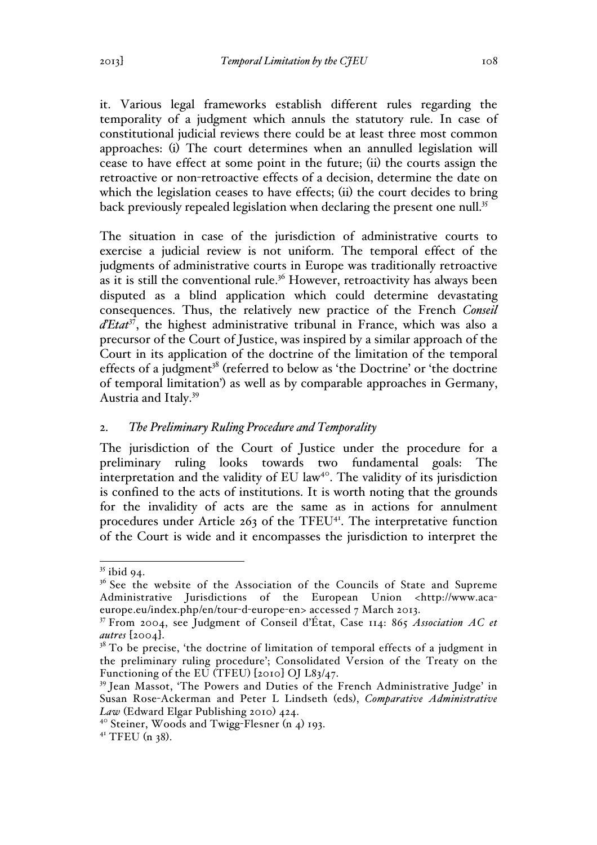it. Various legal frameworks establish different rules regarding the temporality of a judgment which annuls the statutory rule. In case of constitutional judicial reviews there could be at least three most common approaches: (i) The court determines when an annulled legislation will cease to have effect at some point in the future; (ii) the courts assign the retroactive or non-retroactive effects of a decision, determine the date on which the legislation ceases to have effects; (ii) the court decides to bring back previously repealed legislation when declaring the present one null.<sup>35</sup>

The situation in case of the jurisdiction of administrative courts to exercise a judicial review is not uniform. The temporal effect of the judgments of administrative courts in Europe was traditionally retroactive as it is still the conventional rule.<sup>36</sup> However, retroactivity has always been disputed as a blind application which could determine devastating consequences. Thus, the relatively new practice of the French *Conseil*  d'Etat<sup>37</sup>, the highest administrative tribunal in France, which was also a precursor of the Court of Justice, was inspired by a similar approach of the Court in its application of the doctrine of the limitation of the temporal effects of a judgment<sup>38</sup> (referred to below as 'the Doctrine' or 'the doctrine of temporal limitation') as well as by comparable approaches in Germany, Austria and Italy.39

# 2. *The Preliminary Ruling Procedure and Temporality*

The jurisdiction of the Court of Justice under the procedure for a preliminary ruling looks towards two fundamental goals: The interpretation and the validity of EU law<sup>40</sup>. The validity of its jurisdiction is confined to the acts of institutions. It is worth noting that the grounds for the invalidity of acts are the same as in actions for annulment procedures under Article  $263$  of the TFEU<sup>41</sup>. The interpretative function of the Court is wide and it encompasses the jurisdiction to interpret the

 $35$  ibid 94.

<sup>&</sup>lt;sup>36</sup> See the website of the Association of the Councils of State and Supreme Administrative Jurisdictions of the European Union <http://www.acaeurope.eu/index.php/en/tour-d-europe-en> accessed 7 March 2013.

<sup>37</sup> From 2004, see Judgment of Conseil d'État, Case 114: 865 *Association AC et* 

<sup>&</sup>lt;sup>38</sup> To be precise, 'the doctrine of limitation of temporal effects of a judgment in the preliminary ruling procedure'; Consolidated Version of the Treaty on the Functioning of the EU (TFEU) [2010] OJ L83/47.

<sup>39</sup> Jean Massot, 'The Powers and Duties of the French Administrative Judge' in Susan Rose-Ackerman and Peter L Lindseth (eds), *Comparative Administrative Law* (Edward Elgar Publishing 2010) 424.

<sup>40</sup> Steiner, Woods and Twigg-Flesner (n 4) 193.

 $41$  TFEU (n 38).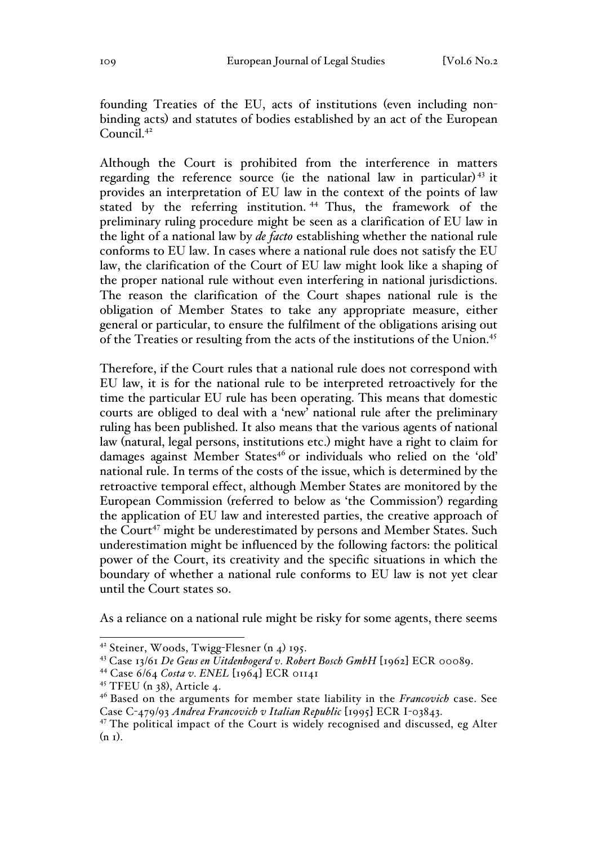founding Treaties of the EU, acts of institutions (even including nonbinding acts) and statutes of bodies established by an act of the European Council.<sup>42</sup>

Although the Court is prohibited from the interference in matters regarding the reference source (ie the national law in particular)<sup>43</sup> it provides an interpretation of EU law in the context of the points of law stated by the referring institution.<sup>44</sup> Thus, the framework of the preliminary ruling procedure might be seen as a clarification of EU law in the light of a national law by *de facto* establishing whether the national rule conforms to EU law. In cases where a national rule does not satisfy the EU law, the clarification of the Court of EU law might look like a shaping of the proper national rule without even interfering in national jurisdictions. The reason the clarification of the Court shapes national rule is the obligation of Member States to take any appropriate measure, either general or particular, to ensure the fulfilment of the obligations arising out of the Treaties or resulting from the acts of the institutions of the Union.45

Therefore, if the Court rules that a national rule does not correspond with EU law, it is for the national rule to be interpreted retroactively for the time the particular EU rule has been operating. This means that domestic courts are obliged to deal with a 'new' national rule after the preliminary ruling has been published. It also means that the various agents of national law (natural, legal persons, institutions etc.) might have a right to claim for damages against Member States<sup>46</sup> or individuals who relied on the 'old' national rule. In terms of the costs of the issue, which is determined by the retroactive temporal effect, although Member States are monitored by the European Commission (referred to below as 'the Commission') regarding the application of EU law and interested parties, the creative approach of the Court<sup>47</sup> might be underestimated by persons and Member States. Such underestimation might be influenced by the following factors: the political power of the Court, its creativity and the specific situations in which the boundary of whether a national rule conforms to EU law is not yet clear until the Court states so.

As a reliance on a national rule might be risky for some agents, there seems

 <sup>42</sup> Steiner, Woods, Twigg-Flesner (n 4) 195.

<sup>43</sup> Case 13/61 *De Geus en Uitdenbogerd v. Robert Bosch GmbH* [1962] ECR 00089.

<sup>44</sup> Case 6/64 *Costa v. ENEL* [1964] ECR 01141

<sup>45</sup> TFEU (n 38), Article 4.

<sup>46</sup> Based on the arguments for member state liability in the *Francovich* case. See Case C-479/93 *Andrea Francovich v Italian Republic* [1995] ECR I-03843.

<sup>&</sup>lt;sup>47</sup> The political impact of the Court is widely recognised and discussed, eg Alter  $(n_1)$ .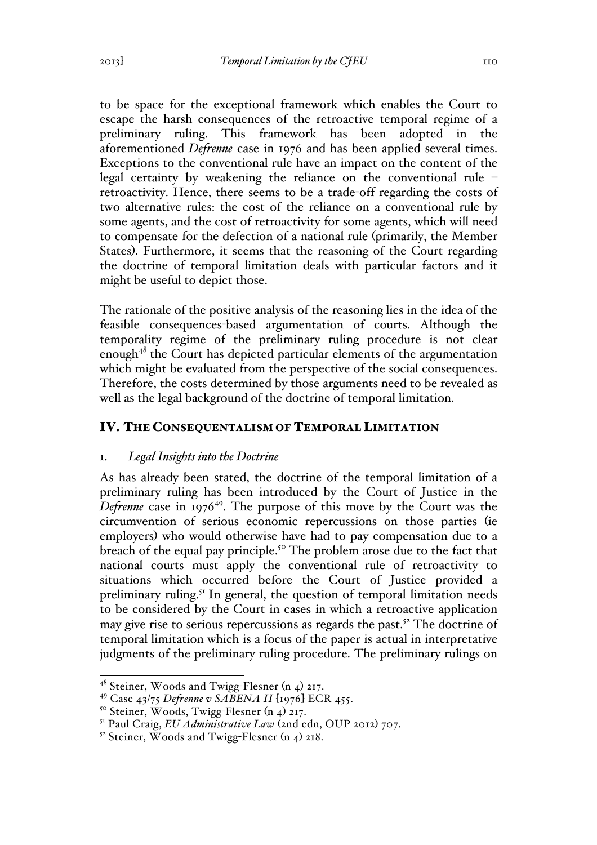to be space for the exceptional framework which enables the Court to escape the harsh consequences of the retroactive temporal regime of a preliminary ruling. This framework has been adopted in the aforementioned *Defrenne* case in 1976 and has been applied several times. Exceptions to the conventional rule have an impact on the content of the legal certainty by weakening the reliance on the conventional rule – retroactivity. Hence, there seems to be a trade-off regarding the costs of two alternative rules: the cost of the reliance on a conventional rule by some agents, and the cost of retroactivity for some agents, which will need to compensate for the defection of a national rule (primarily, the Member States). Furthermore, it seems that the reasoning of the Court regarding the doctrine of temporal limitation deals with particular factors and it might be useful to depict those.

The rationale of the positive analysis of the reasoning lies in the idea of the feasible consequences-based argumentation of courts. Although the temporality regime of the preliminary ruling procedure is not clear enough<sup>48</sup> the Court has depicted particular elements of the argumentation which might be evaluated from the perspective of the social consequences. Therefore, the costs determined by those arguments need to be revealed as well as the legal background of the doctrine of temporal limitation.

### IV. THE CONSEQUENTALISM OF TEMPORAL LIMITATION

### 1. *Legal Insights into the Doctrine*

As has already been stated, the doctrine of the temporal limitation of a preliminary ruling has been introduced by the Court of Justice in the *Defrenne* case in 1976<sup>49</sup>. The purpose of this move by the Court was the circumvention of serious economic repercussions on those parties (ie employers) who would otherwise have had to pay compensation due to a breach of the equal pay principle.<sup>50</sup> The problem arose due to the fact that national courts must apply the conventional rule of retroactivity to situations which occurred before the Court of Justice provided a preliminary ruling.<sup>51</sup> In general, the question of temporal limitation needs to be considered by the Court in cases in which a retroactive application may give rise to serious repercussions as regards the past.<sup>52</sup> The doctrine of temporal limitation which is a focus of the paper is actual in interpretative judgments of the preliminary ruling procedure. The preliminary rulings on

 $4^8$  Steiner, Woods and Twigg-Flesner (n 4) 217.

<sup>49</sup> Case 43/75 *Defrenne v SABENA II* [1976] ECR 455.

<sup>50</sup> Steiner, Woods, Twigg-Flesner (n 4) 217.

<sup>51</sup> Paul Craig, *EU Administrative Law* (2nd edn, OUP 2012) 707.

 $52$  Steiner, Woods and Twigg-Flesner (n 4) 218.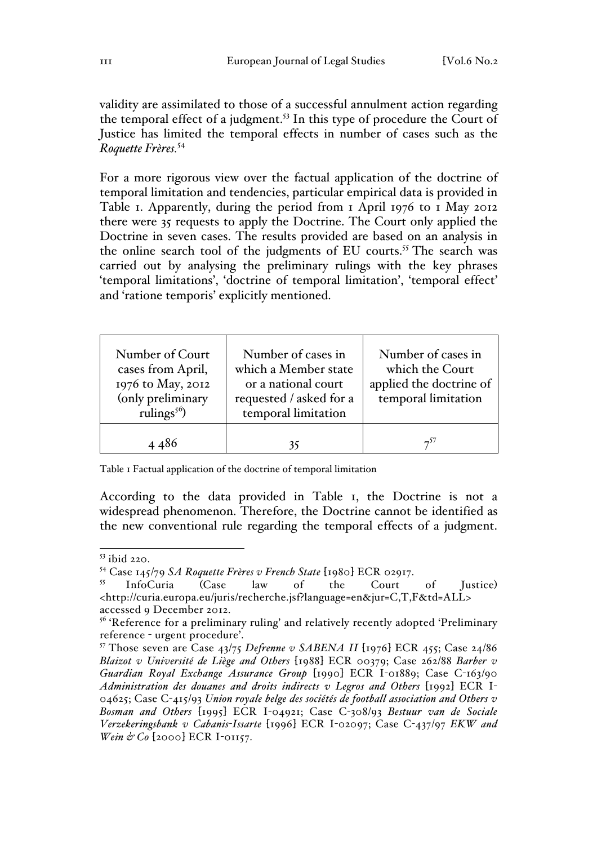validity are assimilated to those of a successful annulment action regarding the temporal effect of a judgment.<sup>53</sup> In this type of procedure the Court of Justice has limited the temporal effects in number of cases such as the *Roquette Frères.*<sup>54</sup>

For a more rigorous view over the factual application of the doctrine of temporal limitation and tendencies, particular empirical data is provided in Table 1. Apparently, during the period from 1 April 1976 to 1 May 2012 there were 35 requests to apply the Doctrine. The Court only applied the Doctrine in seven cases. The results provided are based on an analysis in the online search tool of the judgments of EU courts.<sup>55</sup> The search was carried out by analysing the preliminary rulings with the key phrases 'temporal limitations', 'doctrine of temporal limitation', 'temporal effect' and 'ratione temporis' explicitly mentioned.

| Number of Court<br>cases from April,<br>1976 to May, 2012<br>(only preliminary<br>rulings <sup>56</sup> ) | Number of cases in<br>which a Member state<br>or a national court<br>requested / asked for a<br>temporal limitation | Number of cases in<br>which the Court<br>applied the doctrine of<br>temporal limitation |
|-----------------------------------------------------------------------------------------------------------|---------------------------------------------------------------------------------------------------------------------|-----------------------------------------------------------------------------------------|
| 4486                                                                                                      | 35                                                                                                                  | $-57$                                                                                   |

Table 1 Factual application of the doctrine of temporal limitation

According to the data provided in Table 1, the Doctrine is not a widespread phenomenon. Therefore, the Doctrine cannot be identified as the new conventional rule regarding the temporal effects of a judgment.

 <sup>53</sup> ibid 220.

<sup>54</sup> Case 145/79 *SA Roquette Frères v French State* [1980] ECR 02917.

<sup>55</sup> InfoCuria (Case law of the Court of Justice) <http://curia.europa.eu/juris/recherche.jsf?language=en&jur=C,T,F&td=ALL> accessed 9 December 2012.

<sup>&</sup>lt;sup>56</sup> 'Reference for a preliminary ruling' and relatively recently adopted 'Preliminary reference - urgent procedure'.

<sup>57</sup> Those seven are Case 43/75 *Defrenne v SABENA II* [1976] ECR 455; Case 24/86 *Blaizot v Université de Liège and Others* [1988] ECR 00379; Case 262/88 *Barber v Guardian Royal Exchange Assurance Group* [1990] ECR I-01889; Case C-163/90 *Administration des douanes and droits indirects v Legros and Others* [1992] ECR I-04625; Case C-415/93 *Union royale belge des sociétés de football association and Others v Bosman and Others* [1995] ECR I-04921; Case C-308/93 *Bestuur van de Sociale Verzekeringsbank v Cabanis-Issarte* [1996] ECR I-02097; Case C-437/97 *EKW and Wein & Co* [2000] ECR I-01157.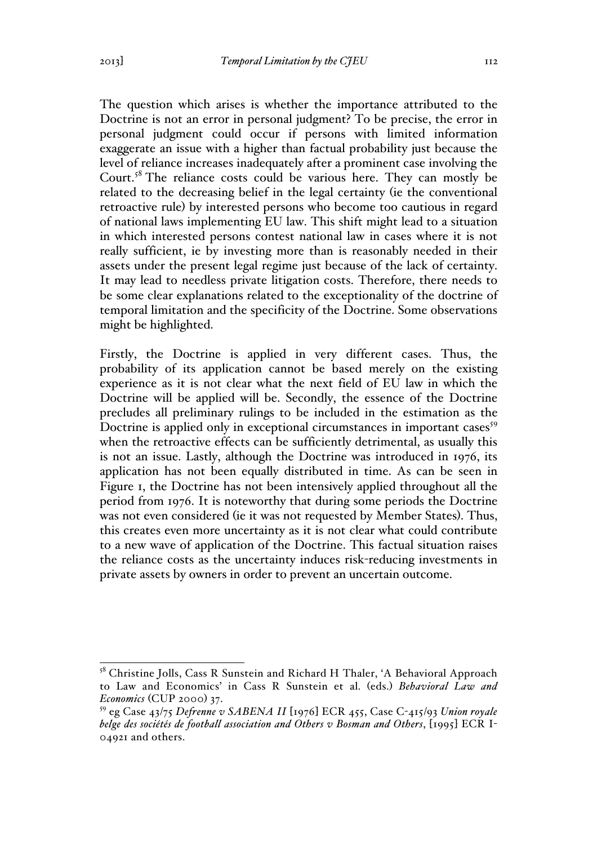The question which arises is whether the importance attributed to the Doctrine is not an error in personal judgment? To be precise, the error in personal judgment could occur if persons with limited information exaggerate an issue with a higher than factual probability just because the level of reliance increases inadequately after a prominent case involving the Court.<sup>58</sup> The reliance costs could be various here. They can mostly be related to the decreasing belief in the legal certainty (ie the conventional retroactive rule) by interested persons who become too cautious in regard of national laws implementing EU law. This shift might lead to a situation in which interested persons contest national law in cases where it is not really sufficient, ie by investing more than is reasonably needed in their assets under the present legal regime just because of the lack of certainty. It may lead to needless private litigation costs. Therefore, there needs to be some clear explanations related to the exceptionality of the doctrine of temporal limitation and the specificity of the Doctrine. Some observations might be highlighted.

Firstly, the Doctrine is applied in very different cases. Thus, the probability of its application cannot be based merely on the existing experience as it is not clear what the next field of EU law in which the Doctrine will be applied will be. Secondly, the essence of the Doctrine precludes all preliminary rulings to be included in the estimation as the Doctrine is applied only in exceptional circumstances in important cases<sup>59</sup> when the retroactive effects can be sufficiently detrimental, as usually this is not an issue. Lastly, although the Doctrine was introduced in 1976, its application has not been equally distributed in time. As can be seen in Figure 1, the Doctrine has not been intensively applied throughout all the period from 1976. It is noteworthy that during some periods the Doctrine was not even considered (ie it was not requested by Member States). Thus, this creates even more uncertainty as it is not clear what could contribute to a new wave of application of the Doctrine. This factual situation raises the reliance costs as the uncertainty induces risk-reducing investments in private assets by owners in order to prevent an uncertain outcome.

<sup>&</sup>lt;sup>58</sup> Christine Jolls, Cass R Sunstein and Richard H Thaler, 'A Behavioral Approach to Law and Economics' in Cass R Sunstein et al. (eds.) *Behavioral Law and Economics* (CUP 2000) 37.

<sup>59</sup> eg Case 43/75 *Defrenne v SABENA II* [1976] ECR 455, Case C-415/93 *Union royale belge des sociétés de football association and Others v Bosman and Others*, [1995] ECR I-04921 and others.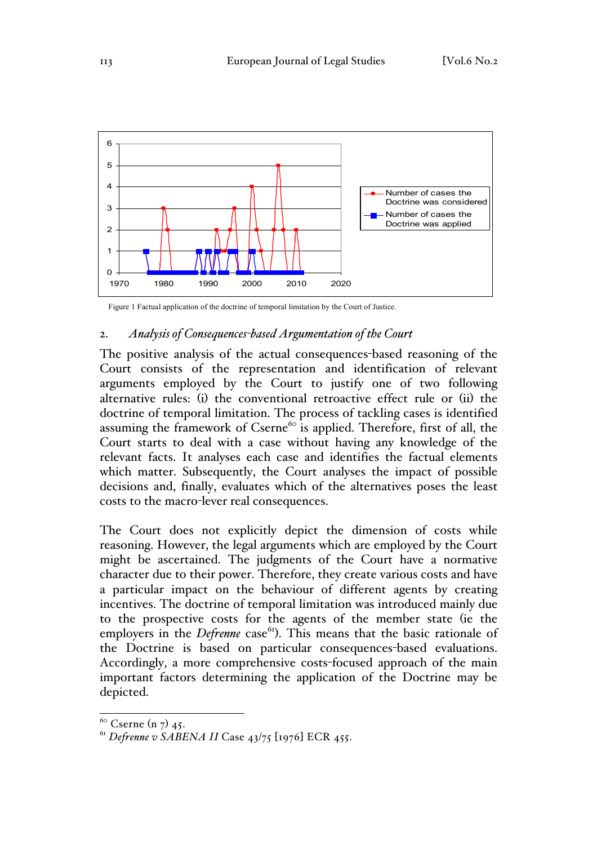

Figure 1 Factual application of the doctrine of temporal limitation by the Court of Justice.

## 2. *Analysis of Consequences-based Argumentation of the Court*

The positive analysis of the actual consequences-based reasoning of the Court consists of the representation and identification of relevant arguments employed by the Court to justify one of two following alternative rules: (i) the conventional retroactive effect rule or (ii) the doctrine of temporal limitation. The process of tackling cases is identified assuming the framework of Cserne<sup>60</sup> is applied. Therefore, first of all, the Court starts to deal with a case without having any knowledge of the relevant facts. It analyses each case and identifies the factual elements which matter. Subsequently, the Court analyses the impact of possible decisions and, finally, evaluates which of the alternatives poses the least costs to the macro-lever real consequences.

The Court does not explicitly depict the dimension of costs while reasoning. However, the legal arguments which are employed by the Court might be ascertained. The judgments of the Court have a normative character due to their power. Therefore, they create various costs and have a particular impact on the behaviour of different agents by creating incentives. The doctrine of temporal limitation was introduced mainly due to the prospective costs for the agents of the member state (ie the employers in the *Defrenne* case<sup>61</sup>). This means that the basic rationale of the Doctrine is based on particular consequences-based evaluations. Accordingly, a more comprehensive costs-focused approach of the main important factors determining the application of the Doctrine may be depicted.

 $60$  Cserne (n 7) 45.

<sup>61</sup> *Defrenne v SABENA II* Case 43/75 [1976] ECR 455.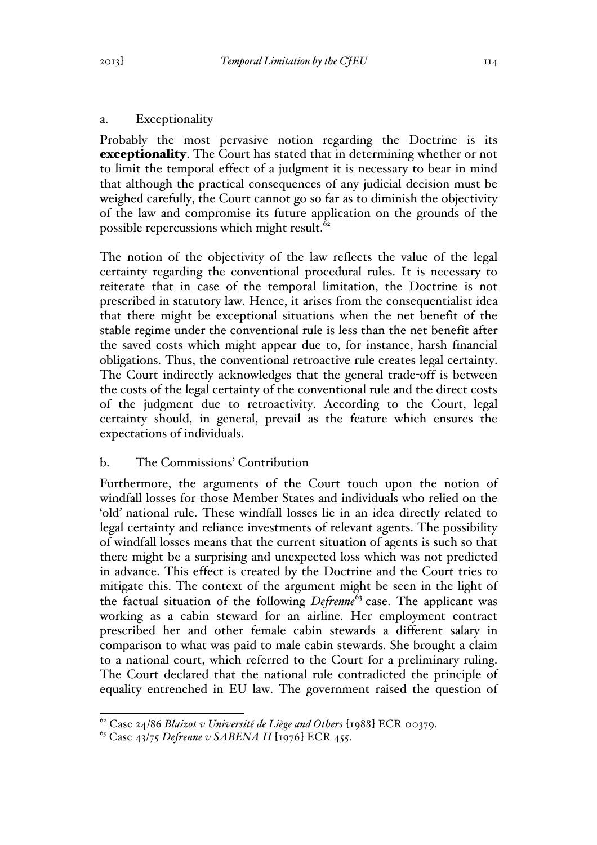Probably the most pervasive notion regarding the Doctrine is its exceptionality. The Court has stated that in determining whether or not to limit the temporal effect of a judgment it is necessary to bear in mind that although the practical consequences of any judicial decision must be weighed carefully, the Court cannot go so far as to diminish the objectivity of the law and compromise its future application on the grounds of the possible repercussions which might result.<sup>62</sup>

The notion of the objectivity of the law reflects the value of the legal certainty regarding the conventional procedural rules. It is necessary to reiterate that in case of the temporal limitation, the Doctrine is not prescribed in statutory law. Hence, it arises from the consequentialist idea that there might be exceptional situations when the net benefit of the stable regime under the conventional rule is less than the net benefit after the saved costs which might appear due to, for instance, harsh financial obligations. Thus, the conventional retroactive rule creates legal certainty. The Court indirectly acknowledges that the general trade-off is between the costs of the legal certainty of the conventional rule and the direct costs of the judgment due to retroactivity. According to the Court, legal certainty should, in general, prevail as the feature which ensures the expectations of individuals.

# b. The Commissions' Contribution

Furthermore, the arguments of the Court touch upon the notion of windfall losses for those Member States and individuals who relied on the 'old*'* national rule. These windfall losses lie in an idea directly related to legal certainty and reliance investments of relevant agents. The possibility of windfall losses means that the current situation of agents is such so that there might be a surprising and unexpected loss which was not predicted in advance. This effect is created by the Doctrine and the Court tries to mitigate this. The context of the argument might be seen in the light of the factual situation of the following *Defrenne*<sup>63</sup> case. The applicant was working as a cabin steward for an airline. Her employment contract prescribed her and other female cabin stewards a different salary in comparison to what was paid to male cabin stewards. She brought a claim to a national court, which referred to the Court for a preliminary ruling. The Court declared that the national rule contradicted the principle of equality entrenched in EU law. The government raised the question of

<sup>62</sup> Case 24/86 *Blaizot v Université de Liège and Others* [1988] ECR 00379. <sup>63</sup> Case 43/75 *Defrenne v SABENA II* [1976] ECR 455.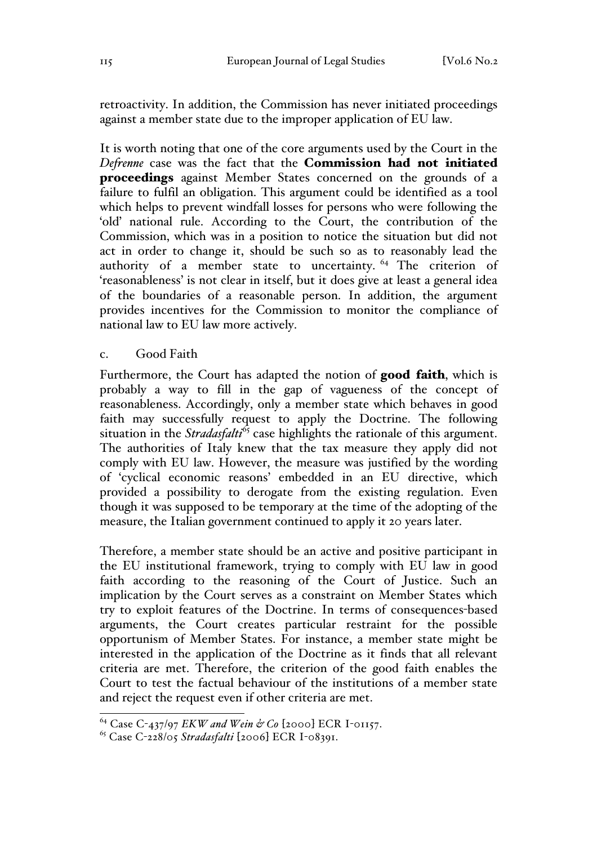retroactivity. In addition, the Commission has never initiated proceedings against a member state due to the improper application of EU law.

It is worth noting that one of the core arguments used by the Court in the *Defrenne* case was the fact that the Commission had not initiated proceedings against Member States concerned on the grounds of a failure to fulfil an obligation. This argument could be identified as a tool which helps to prevent windfall losses for persons who were following the 'old' national rule. According to the Court, the contribution of the Commission, which was in a position to notice the situation but did not act in order to change it, should be such so as to reasonably lead the authority of a member state to uncertainty. <sup>64</sup> The criterion of 'reasonableness' is not clear in itself, but it does give at least a general idea of the boundaries of a reasonable person. In addition, the argument provides incentives for the Commission to monitor the compliance of national law to EU law more actively.

#### c. Good Faith

Furthermore, the Court has adapted the notion of good faith, which is probably a way to fill in the gap of vagueness of the concept of reasonableness. Accordingly, only a member state which behaves in good faith may successfully request to apply the Doctrine. The following situation in the *Stradasfalti*<sup>65</sup> case highlights the rationale of this argument. The authorities of Italy knew that the tax measure they apply did not comply with EU law. However, the measure was justified by the wording of 'cyclical economic reasons' embedded in an EU directive, which provided a possibility to derogate from the existing regulation. Even though it was supposed to be temporary at the time of the adopting of the measure, the Italian government continued to apply it 20 years later.

Therefore, a member state should be an active and positive participant in the EU institutional framework, trying to comply with EU law in good faith according to the reasoning of the Court of Justice. Such an implication by the Court serves as a constraint on Member States which try to exploit features of the Doctrine. In terms of consequences-based arguments, the Court creates particular restraint for the possible opportunism of Member States. For instance, a member state might be interested in the application of the Doctrine as it finds that all relevant criteria are met. Therefore, the criterion of the good faith enables the Court to test the factual behaviour of the institutions of a member state and reject the request even if other criteria are met.

 <sup>64</sup> Case C-437/97 *EKW and Wein & Co* [2000] ECR I-01157.

<sup>65</sup> Case C-228/05 *Stradasfalti* [2006] ECR I-08391.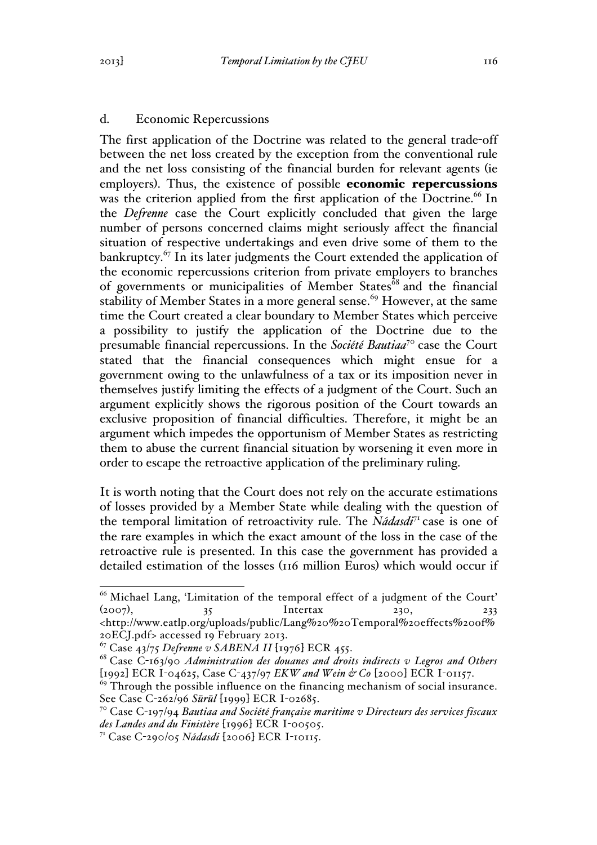# d. Economic Repercussions

The first application of the Doctrine was related to the general trade-off between the net loss created by the exception from the conventional rule and the net loss consisting of the financial burden for relevant agents (ie employers). Thus, the existence of possible economic repercussions was the criterion applied from the first application of the Doctrine.<sup>66</sup> In the *Defrenne* case the Court explicitly concluded that given the large number of persons concerned claims might seriously affect the financial situation of respective undertakings and even drive some of them to the bankruptcy.<sup>67</sup> In its later judgments the Court extended the application of the economic repercussions criterion from private employers to branches of governments or municipalities of Member States<sup>68</sup> and the financial stability of Member States in a more general sense.<sup>69</sup> However, at the same time the Court created a clear boundary to Member States which perceive a possibility to justify the application of the Doctrine due to the presumable financial repercussions. In the *Société Bautiaa*<sup>70</sup> case the Court stated that the financial consequences which might ensue for a government owing to the unlawfulness of a tax or its imposition never in themselves justify limiting the effects of a judgment of the Court. Such an argument explicitly shows the rigorous position of the Court towards an exclusive proposition of financial difficulties. Therefore, it might be an argument which impedes the opportunism of Member States as restricting them to abuse the current financial situation by worsening it even more in order to escape the retroactive application of the preliminary ruling.

It is worth noting that the Court does not rely on the accurate estimations of losses provided by a Member State while dealing with the question of the temporal limitation of retroactivity rule. The *Nádasdi*<sup>71</sup> case is one of the rare examples in which the exact amount of the loss in the case of the retroactive rule is presented. In this case the government has provided a detailed estimation of the losses (116 million Euros) which would occur if

<sup>&</sup>lt;sup>66</sup> Michael Lang, 'Limitation of the temporal effect of a judgment of the Court'  $(2007)$ ,  $35$  Intertax 230, 233 <http://www.eatlp.org/uploads/public/Lang%20%20Temporal%20effects%20of%

<sup>20</sup>ECJ.pdf> accessed 19 February 2013. <sup>67</sup> Case 43/75 *Defrenne v SABENA II* [1976] ECR 455.

<sup>68</sup> Case C-163/90 *Administration des douanes and droits indirects v Legros and Others* [1992] ECR I-04625, Case C-437/97 *EKW and Wein & Co* [2000] ECR I-01157.

 $69$  Through the possible influence on the financing mechanism of social insurance. See Case C-262/96 *Sürül* [1999] ECR I-02685. <sup>70</sup> Case C-197/94 *Bautiaa and Société française maritime v Directeurs des services fiscaux* 

*des Landes and du Finistère* [1996] ECR I-00505.

<sup>71</sup> Case C-290/05 *Nádasdi* [2006] ECR I-10115.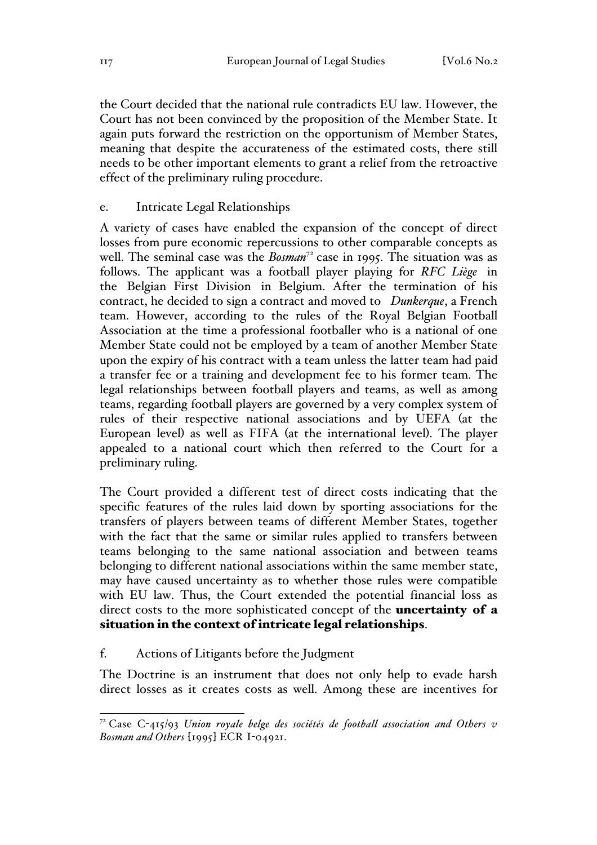the Court decided that the national rule contradicts EU law. However, the Court has not been convinced by the proposition of the Member State. It again puts forward the restriction on the opportunism of Member States, meaning that despite the accurateness of the estimated costs, there still needs to be other important elements to grant a relief from the retroactive effect of the preliminary ruling procedure.

### e. Intricate Legal Relationships

A variety of cases have enabled the expansion of the concept of direct losses from pure economic repercussions to other comparable concepts as well. The seminal case was the *Bosman*<sup>72</sup> case in 1995. The situation was as follows. The applicant was a football player playing for *RFC Liège* in the Belgian First Division in Belgium. After the termination of his contract, he decided to sign a contract and moved to *Dunkerque*, a French team. However, according to the rules of the Royal Belgian Football Association at the time a professional footballer who is a national of one Member State could not be employed by a team of another Member State upon the expiry of his contract with a team unless the latter team had paid a transfer fee or a training and development fee to his former team. The legal relationships between football players and teams, as well as among teams, regarding football players are governed by a very complex system of rules of their respective national associations and by UEFA (at the European level) as well as FIFA (at the international level). The player appealed to a national court which then referred to the Court for a preliminary ruling.

The Court provided a different test of direct costs indicating that the specific features of the rules laid down by sporting associations for the transfers of players between teams of different Member States, together with the fact that the same or similar rules applied to transfers between teams belonging to the same national association and between teams belonging to different national associations within the same member state, may have caused uncertainty as to whether those rules were compatible with EU law. Thus, the Court extended the potential financial loss as direct costs to the more sophisticated concept of the **uncertainty of a** situation in the context of intricate legal relationships.

## f. Actions of Litigants before the Judgment

The Doctrine is an instrument that does not only help to evade harsh direct losses as it creates costs as well. Among these are incentives for

 <sup>72</sup> Case C-415/93 *Union royale belge des sociétés de football association and Others v Bosman and Others* [1995] ECR I-04921.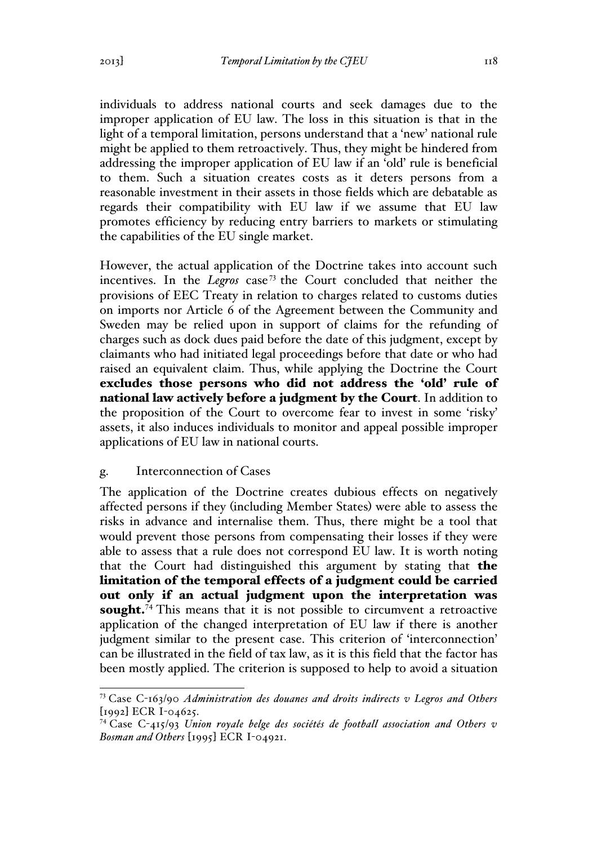individuals to address national courts and seek damages due to the improper application of EU law. The loss in this situation is that in the light of a temporal limitation, persons understand that a 'new' national rule might be applied to them retroactively. Thus, they might be hindered from addressing the improper application of EU law if an 'old' rule is beneficial to them. Such a situation creates costs as it deters persons from a reasonable investment in their assets in those fields which are debatable as regards their compatibility with EU law if we assume that EU law promotes efficiency by reducing entry barriers to markets or stimulating the capabilities of the EU single market.

However, the actual application of the Doctrine takes into account such incentives. In the *Legros* case<sup>73</sup> the Court concluded that neither the provisions of EEC Treaty in relation to charges related to customs duties on imports nor Article 6 of the Agreement between the Community and Sweden may be relied upon in support of claims for the refunding of charges such as dock dues paid before the date of this judgment, except by claimants who had initiated legal proceedings before that date or who had raised an equivalent claim. Thus, while applying the Doctrine the Court excludes those persons who did not address the 'old' rule of national law actively before a judgment by the Court. In addition to the proposition of the Court to overcome fear to invest in some 'risky' assets, it also induces individuals to monitor and appeal possible improper applications of EU law in national courts.

### g. Interconnection of Cases

The application of the Doctrine creates dubious effects on negatively affected persons if they (including Member States) were able to assess the risks in advance and internalise them. Thus, there might be a tool that would prevent those persons from compensating their losses if they were able to assess that a rule does not correspond EU law. It is worth noting that the Court had distinguished this argument by stating that the limitation of the temporal effects of a judgment could be carried out only if an actual judgment upon the interpretation was sought.<sup>74</sup> This means that it is not possible to circumvent a retroactive application of the changed interpretation of EU law if there is another judgment similar to the present case. This criterion of 'interconnection' can be illustrated in the field of tax law, as it is this field that the factor has been mostly applied. The criterion is supposed to help to avoid a situation

 <sup>73</sup> Case C-163/90 *Administration des douanes and droits indirects v Legros and Others* [1992] ECR I-04625.

<sup>74</sup> Case C-415/93 *Union royale belge des sociétés de football association and Others v Bosman and Others* [1995] ECR I-04921.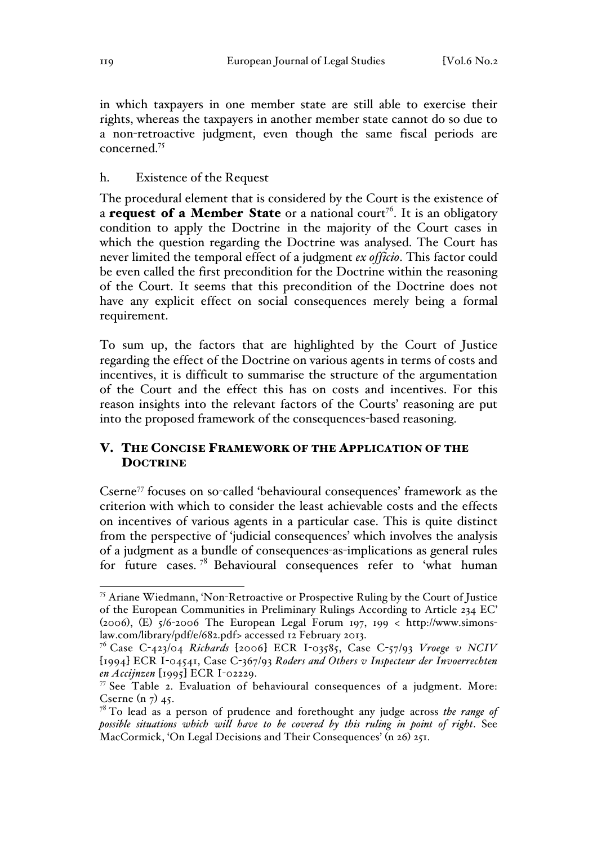in which taxpayers in one member state are still able to exercise their rights, whereas the taxpayers in another member state cannot do so due to a non-retroactive judgment, even though the same fiscal periods are concerned.75

#### h. Existence of the Request

The procedural element that is considered by the Court is the existence of a **request of a Member State** or a national court<sup>76</sup>. It is an obligatory condition to apply the Doctrine in the majority of the Court cases in which the question regarding the Doctrine was analysed. The Court has never limited the temporal effect of a judgment *ex officio*. This factor could be even called the first precondition for the Doctrine within the reasoning of the Court. It seems that this precondition of the Doctrine does not have any explicit effect on social consequences merely being a formal requirement.

To sum up, the factors that are highlighted by the Court of Justice regarding the effect of the Doctrine on various agents in terms of costs and incentives, it is difficult to summarise the structure of the argumentation of the Court and the effect this has on costs and incentives. For this reason insights into the relevant factors of the Courts' reasoning are put into the proposed framework of the consequences-based reasoning.

## V. THE CONCISE FRAMEWORK OF THE APPLICATION OF THE **DOCTRINE**

Cserne<sup>77</sup> focuses on so-called 'behavioural consequences' framework as the criterion with which to consider the least achievable costs and the effects on incentives of various agents in a particular case. This is quite distinct from the perspective of 'judicial consequences' which involves the analysis of a judgment as a bundle of consequences-as-implications as general rules for future cases.<sup>78</sup> Behavioural consequences refer to 'what human

 <sup>75</sup> Ariane Wiedmann, 'Non-Retroactive or Prospective Ruling by the Court of Justice of the European Communities in Preliminary Rulings According to Article 234 EC' (2006), (E) 5/6-2006 The European Legal Forum 197, 199 < http://www.simonslaw.com/library/pdf/e/682.pdf> accessed 12 February 2013. <sup>76</sup> Case C-423/04 *Richards* [2006] ECR I-03585, Case C-57/93 *Vroege v NCIV*

<sup>[</sup>1994] ECR I-04541, Case C-367/93 *Roders and Others v Inspecteur der Invoerrechten en Accijnzen* [1995] ECR I-02229.<br><sup>77</sup> See Table 2. Evaluation of behavioural consequences of a judgment. More:

Cserne  $(n_7)$  45.

<sup>78</sup> To lead as a person of prudence and forethought any judge across *the range of possible situations which will have to be covered by this ruling in point of right*. See MacCormick, 'On Legal Decisions and Their Consequences' (n 26) 251.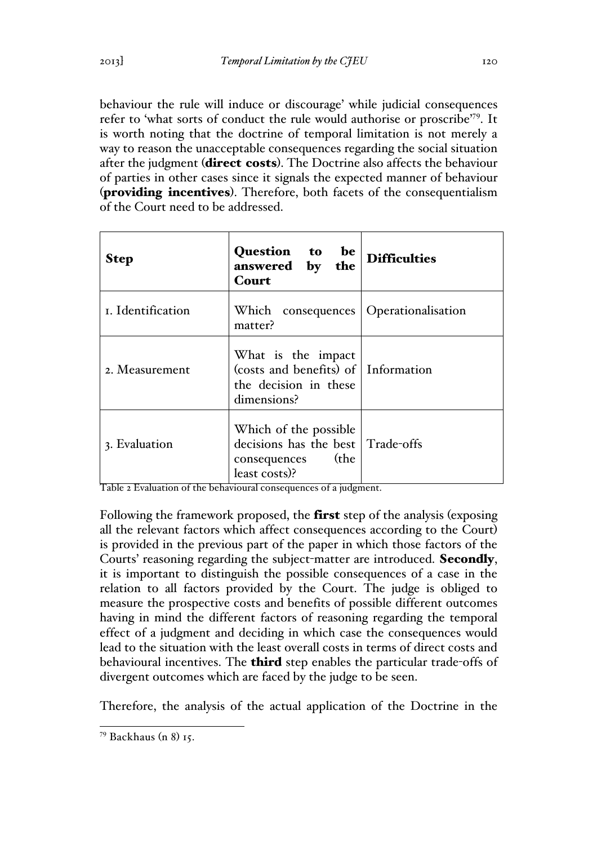behaviour the rule will induce or discourage' while judicial consequences refer to 'what sorts of conduct the rule would authorise or proscribe'79. It is worth noting that the doctrine of temporal limitation is not merely a way to reason the unacceptable consequences regarding the social situation after the judgment (direct costs). The Doctrine also affects the behaviour of parties in other cases since it signals the expected manner of behaviour (providing incentives). Therefore, both facets of the consequentialism of the Court need to be addressed.

| <b>Step</b>       | Question to be<br>answered by the<br>Court                                                          | <b>Difficulties</b> |
|-------------------|-----------------------------------------------------------------------------------------------------|---------------------|
| I. Identification | Which consequences   Operationalisation<br>matter?                                                  |                     |
| 2. Measurement    | What is the impact<br>(costs and benefits) of   Information<br>the decision in these<br>dimensions? |                     |
| 3. Evaluation     | Which of the possible<br>decisions has the best Trade-offs<br>(the<br>consequences<br>least costs)? |                     |

Table 2 Evaluation of the behavioural consequences of a judgment.

Following the framework proposed, the **first** step of the analysis (exposing all the relevant factors which affect consequences according to the Court) is provided in the previous part of the paper in which those factors of the Courts' reasoning regarding the subject-matter are introduced. Secondly, it is important to distinguish the possible consequences of a case in the relation to all factors provided by the Court. The judge is obliged to measure the prospective costs and benefits of possible different outcomes having in mind the different factors of reasoning regarding the temporal effect of a judgment and deciding in which case the consequences would lead to the situation with the least overall costs in terms of direct costs and behavioural incentives. The **third** step enables the particular trade-offs of divergent outcomes which are faced by the judge to be seen.

Therefore, the analysis of the actual application of the Doctrine in the

 <sup>79</sup> Backhaus (n 8) 15.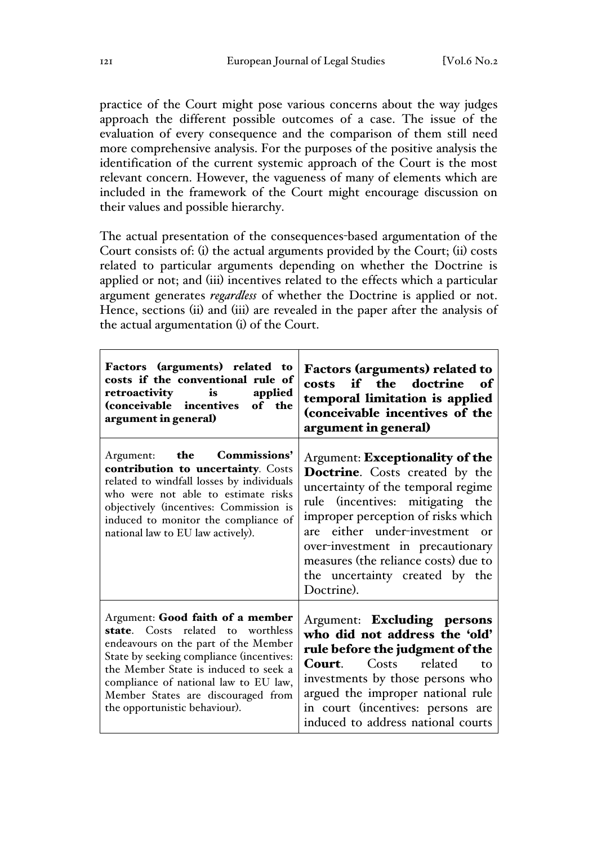practice of the Court might pose various concerns about the way judges approach the different possible outcomes of a case. The issue of the evaluation of every consequence and the comparison of them still need more comprehensive analysis. For the purposes of the positive analysis the identification of the current systemic approach of the Court is the most relevant concern. However, the vagueness of many of elements which are included in the framework of the Court might encourage discussion on their values and possible hierarchy.

The actual presentation of the consequences-based argumentation of the Court consists of: (i) the actual arguments provided by the Court; (ii) costs related to particular arguments depending on whether the Doctrine is applied or not; and (iii) incentives related to the effects which a particular argument generates *regardless* of whether the Doctrine is applied or not. Hence, sections (ii) and (iii) are revealed in the paper after the analysis of the actual argumentation (i) of the Court.

| Factors (arguments) related to<br>costs if the conventional rule of<br>retroactivity is<br>applied<br>(conceivable incentives of the<br>argument in general)                                                                                                                                                       | <b>Factors (arguments) related to</b><br>costs if the doctrine of<br>temporal limitation is applied<br>(conceivable incentives of the<br>argument in general)                                                                                                                                                                                   |
|--------------------------------------------------------------------------------------------------------------------------------------------------------------------------------------------------------------------------------------------------------------------------------------------------------------------|-------------------------------------------------------------------------------------------------------------------------------------------------------------------------------------------------------------------------------------------------------------------------------------------------------------------------------------------------|
| Argument: the Commissions'<br>contribution to uncertainty. Costs<br>related to windfall losses by individuals<br>who were not able to estimate risks<br>objectively (incentives: Commission is<br>induced to monitor the compliance of<br>national law to EU law actively).                                        | Argument: Exceptionality of the<br>Doctrine. Costs created by the<br>uncertainty of the temporal regime<br>rule (incentives: mitigating the<br>improper perception of risks which<br>are either under-investment or<br>over-investment in precautionary<br>measures (the reliance costs) due to<br>the uncertainty created by the<br>Doctrine). |
| Argument: Good faith of a member<br>state. Costs related to worthless<br>endeavours on the part of the Member<br>State by seeking compliance (incentives:<br>the Member State is induced to seek a<br>compliance of national law to EU law,<br>Member States are discouraged from<br>the opportunistic behaviour). | Argument: Excluding persons<br>who did not address the 'old'<br>rule before the judgment of the<br>Costs<br>related<br>Court.<br>tο<br>investments by those persons who<br>argued the improper national rule<br>in court (incentives: persons are<br>induced to address national courts                                                         |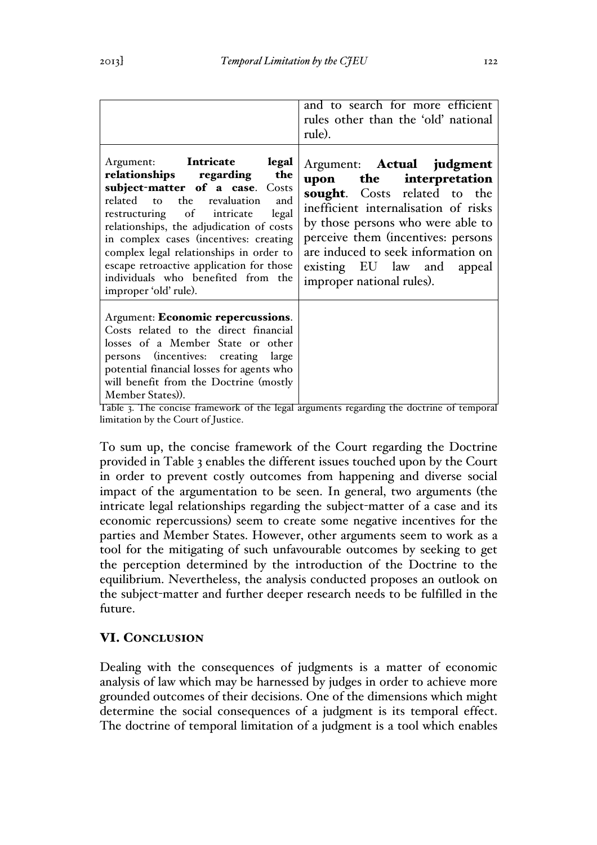| Argument: Intricate legal<br>relationships regarding the<br>subject-matter of a case. Costs<br>related to<br>the revaluation<br>and<br>restructuring of intricate<br>legal<br>relationships, the adjudication of costs<br>in complex cases (incentives: creating<br>complex legal relationships in order to | and to search for more efficient<br>rules other than the 'old' national<br>rule).<br>Argument: <b>Actual</b> judgment<br>upon the interpretation<br>sought. Costs related to the<br>inefficient internalisation of risks<br>by those persons who were able to<br>perceive them (incentives: persons<br>are induced to seek information on |
|-------------------------------------------------------------------------------------------------------------------------------------------------------------------------------------------------------------------------------------------------------------------------------------------------------------|-------------------------------------------------------------------------------------------------------------------------------------------------------------------------------------------------------------------------------------------------------------------------------------------------------------------------------------------|
| escape retroactive application for those<br>individuals who benefited from the<br>improper 'old' rule).                                                                                                                                                                                                     | existing EU law and<br>appeal<br>improper national rules).                                                                                                                                                                                                                                                                                |
| Argument: Economic repercussions.<br>Costs related to the direct financial<br>losses of a Member State or other<br>persons (incentives: creating large<br>potential financial losses for agents who<br>will benefit from the Doctrine (mostly<br>Member States)).                                           |                                                                                                                                                                                                                                                                                                                                           |

Table 3. The concise framework of the legal arguments regarding the doctrine of temporal limitation by the Court of Justice.

To sum up, the concise framework of the Court regarding the Doctrine provided in Table 3 enables the different issues touched upon by the Court in order to prevent costly outcomes from happening and diverse social impact of the argumentation to be seen. In general, two arguments (the intricate legal relationships regarding the subject-matter of a case and its economic repercussions) seem to create some negative incentives for the parties and Member States. However, other arguments seem to work as a tool for the mitigating of such unfavourable outcomes by seeking to get the perception determined by the introduction of the Doctrine to the equilibrium. Nevertheless, the analysis conducted proposes an outlook on the subject-matter and further deeper research needs to be fulfilled in the future.

# VI. CONCLUSION

Dealing with the consequences of judgments is a matter of economic analysis of law which may be harnessed by judges in order to achieve more grounded outcomes of their decisions. One of the dimensions which might determine the social consequences of a judgment is its temporal effect. The doctrine of temporal limitation of a judgment is a tool which enables